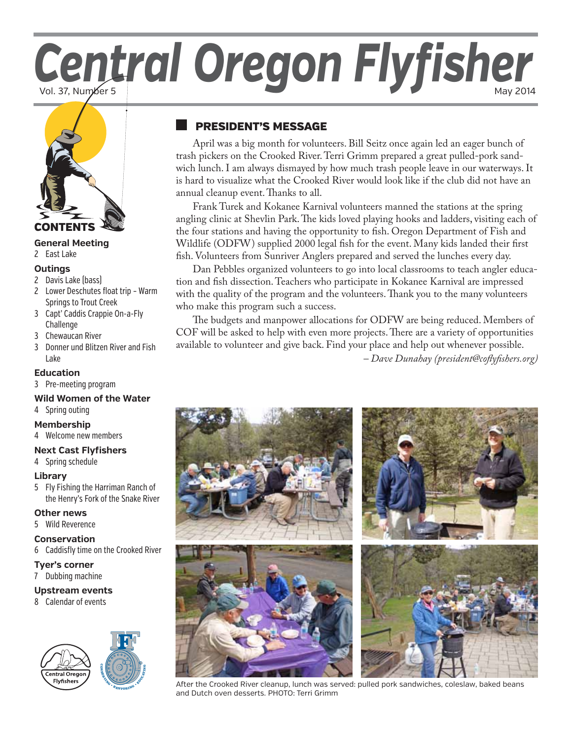# Central Oregon Flyfisher



## **General Meeting**

2 [East Lake](#page-1-0)

#### **Outings**

- 2 [Davis Lake \(bass\)](#page-1-0)
- 2 [Lower Deschutes float trip Warm](#page-1-0)  [Springs to Trout Creek](#page-1-0)
- 3 [Capt' Caddis Crappie On-a-Fly](#page-2-0)  [Challenge](#page-2-0)
- 3 [Chewaucan River](#page-2-0)
- 3 [Donner und Blitzen River and Fish](#page-2-0)  [Lake](#page-2-0)

#### **[Ed](#page-2-0)ucation**

- 3 [Pre-meeting program](#page-2-0)
- **[Wild Women of the Water](#page-2-0)**
- 4 Spring outing

#### **[Membership](#page-3-0)**

4 Welcome new members

#### **[Next Cast Flyfishers](#page-3-0)**

4 [Spring schedule](#page-3-0)

#### **[Library](#page-3-0)**

5 [Fly Fishing the Harriman Ranch of](#page-4-0)  [the Henry's Fork of the Snake River](#page-4-0)

#### **[Other news](#page-4-0)**

5 [Wild Reverence](#page-4-0)

#### **[Conservation](#page-5-0)**

6 [Caddisfly time on the Crooked River](#page-5-0)

**C**

#### **[Tyer's corner](#page-6-0)**

7 Dubbing machine

## **Upstream events**

8 Calendar of events



**BANCOUR ASSESS** 

# president's message

April was a big month for volunteers. Bill Seitz once again led an eager bunch of trash pickers on the Crooked River. Terri Grimm prepared a great pulled-pork sandwich lunch. I am always dismayed by how much trash people leave in our waterways. It is hard to visualize what the Crooked River would look like if the club did not have an annual cleanup event. Thanks to all.

Frank Turek and Kokanee Karnival volunteers manned the stations at the spring angling clinic at Shevlin Park. The kids loved playing hooks and ladders, visiting each of the four stations and having the opportunity to fish. Oregon Department of Fish and Wildlife (ODFW) supplied 2000 legal fish for the event. Many kids landed their first fish. Volunteers from Sunriver Anglers prepared and served the lunches every day.

Dan Pebbles organized volunteers to go into local classrooms to teach angler education and fish dissection. Teachers who participate in Kokanee Karnival are impressed with the quality of the program and the volunteers. Thank you to the many volunteers who make this program such a success.

The budgets and manpower allocations for ODFW are being reduced. Members of COF will be asked to help with even more projects. There are a variety of opportunities available to volunteer and give back. Find your place and help out whenever possible. *– Dave Dunahay (president@coflyfishers.org)*



After the Crooked River cleanup, lunch was served: pulled pork sandwiches, coleslaw, baked beans and Dutch oven desserts. PHOTO: Terri Grimm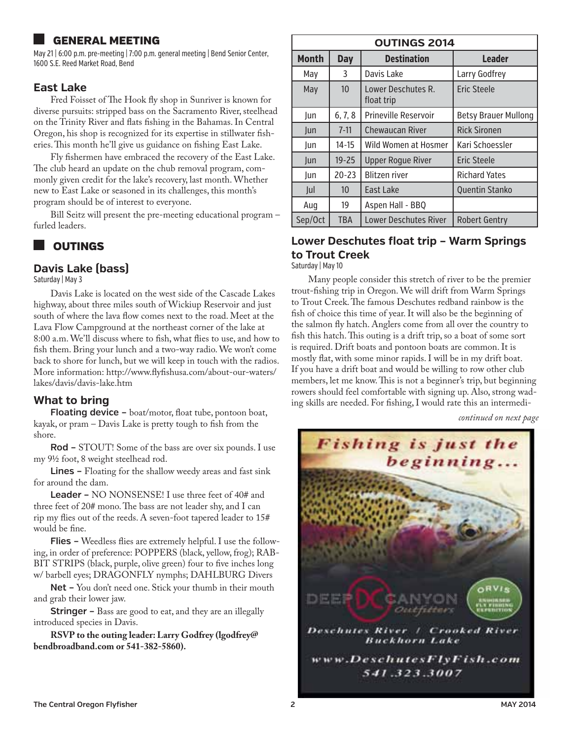# <span id="page-1-0"></span>general meeting

May 21 | 6:00 p.m. pre-meeting | 7:00 p.m. general meeting | Bend Senior Center, 1600 S.E. Reed Market Road, Bend

#### **East Lake**

Fred Foisset of The Hook fly shop in Sunriver is known for diverse pursuits: stripped bass on the Sacramento River, steelhead on the Trinity River and flats fishing in the Bahamas. In Central Oregon, his shop is recognized for its expertise in stillwater fisheries. This month he'll give us guidance on fishing East Lake.

Fly fishermen have embraced the recovery of the East Lake. The club heard an update on the chub removal program, commonly given credit for the lake's recovery, last month. Whether new to East Lake or seasoned in its challenges, this month's program should be of interest to everyone.

Bill Seitz will present the pre-meeting educational program – furled leaders.

# **OUTINGS**

#### **Davis Lake (bass)**

Saturday | May 3

Davis Lake is located on the west side of the Cascade Lakes highway, about three miles south of Wickiup Reservoir and just south of where the lava flow comes next to the road. Meet at the Lava Flow Campground at the northeast corner of the lake at 8:00 a.m. We'll discuss where to fish, what flies to use, and how to fish them. Bring your lunch and a two-way radio. We won't come back to shore for lunch, but we will keep in touch with the radios. More information: http://www.flyfishusa.com/about-our-waters/ lakes/davis/davis-lake.htm

## **What to bring**

Floating device - boat/motor, float tube, pontoon boat, kayak, or pram – Davis Lake is pretty tough to fish from the shore.

**Rod –** STOUT! Some of the bass are over six pounds. I use my 91/2 foot, 8 weight steelhead rod.

**Lines –** Floating for the shallow weedy areas and fast sink for around the dam.

**Leader –** NO NONSENSE! I use three feet of 40# and three feet of 20# mono. The bass are not leader shy, and I can rip my flies out of the reeds. A seven-foot tapered leader to 15# would be fine.

**Flies –** Weedless flies are extremely helpful. I use the following, in order of preference: POPPERS (black, yellow, frog); RAB-BIT STRIPS (black, purple, olive green) four to five inches long w/ barbell eyes; DRAGONFLY nymphs; DAHLBURG Divers

**Net –** You don't need one. Stick your thumb in their mouth and grab their lower jaw.

**Stringer –** Bass are good to eat, and they are an illegally introduced species in Davis.

**RSVP to the outing leader: Larry Godfrey (lgodfrey@ bendbroadband.com or 541-382-5860).**

| <b>OUTINGS 2014</b> |                  |                                  |                             |  |  |
|---------------------|------------------|----------------------------------|-----------------------------|--|--|
| <b>Month</b>        | <b>Day</b>       | <b>Destination</b>               | <b>Leader</b>               |  |  |
| May                 | 3                | Davis Lake                       | Larry Godfrey               |  |  |
| May                 | 10 <sup>°</sup>  | Lower Deschutes R.<br>float trip | Eric Steele                 |  |  |
| Jun                 | 6, 7, 8          | Prineville Reservoir             | <b>Betsy Brauer Mullong</b> |  |  |
| <b>lun</b>          | $7 - 11$         | <b>Chewaucan River</b>           | <b>Rick Sironen</b>         |  |  |
| Jun                 | $14 - 15$        | Wild Women at Hosmer             | Kari Schoessler             |  |  |
| Jun                 | $19 - 25$        | <b>Upper Roque River</b>         | <b>Eric Steele</b>          |  |  |
| Jun                 | $20 - 23$        | <b>Blitzen river</b>             | <b>Richard Yates</b>        |  |  |
| Jul                 | 10 <sup>10</sup> | East Lake                        | <b>Quentin Stanko</b>       |  |  |
| Aug                 | 19               | Aspen Hall - BBQ                 |                             |  |  |
| Sep/Oct             | <b>TBA</b>       | <b>Lower Deschutes River</b>     | <b>Robert Gentry</b>        |  |  |

# **Lower Deschutes float trip – Warm Springs to Trout Creek**

Saturday | May 10

Many people consider this stretch of river to be the premier trout-fishing trip in Oregon. We will drift from Warm Springs to Trout Creek. The famous Deschutes redband rainbow is the fish of choice this time of year. It will also be the beginning of the salmon fly hatch. Anglers come from all over the country to fish this hatch. This outing is a drift trip, so a boat of some sort is required. Drift boats and pontoon boats are common. It is mostly flat, with some minor rapids. I will be in my drift boat. If you have a drift boat and would be willing to row other club members, let me know. This is not a beginner's trip, but beginning rowers should feel comfortable with signing up. Also, strong wading skills are needed. For fishing, I would rate this an intermedi-

![](_page_1_Picture_24.jpeg)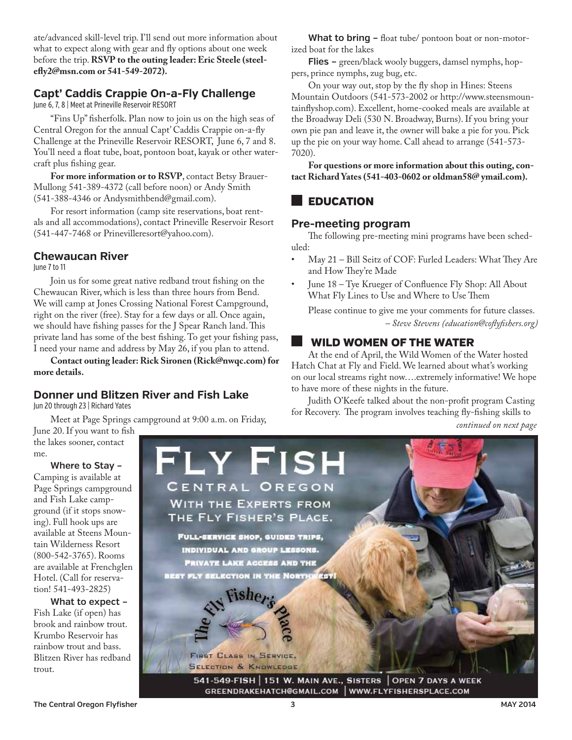<span id="page-2-0"></span>ate/advanced skill-level trip. I'll send out more information about what to expect along with gear and fly options about one week before the trip. **RSVP to the outing leader: Eric Steele (steelefly2@msn.com or 541-549-2072).**

#### **Capt' Caddis Crappie On-a-Fly Challenge**

June 6, 7, 8 | Meet at Prineville Reservoir RESORT

"Fins Up" fisherfolk. Plan now to join us on the high seas of Central Oregon for the annual Capt' Caddis Crappie on-a-fly Challenge at the Prineville Reservoir RESORT, June 6, 7 and 8. You'll need a float tube, boat, pontoon boat, kayak or other watercraft plus fishing gear.

**For more information or to RSVP**, contact Betsy Brauer-Mullong 541-389-4372 (call before noon) or Andy Smith (541-388-4346 or Andysmithbend@gmail.com).

For resort information (camp site reservations, boat rentals and all accommodations), contact Prineville Reservoir Resort (541-447-7468 or Prinevilleresort@yahoo.com).

## **Chewaucan River**

June 7 to 11

Join us for some great native redband trout fishing on the Chewaucan River, which is less than three hours from Bend. We will camp at Jones Crossing National Forest Campground, right on the river (free). Stay for a few days or all. Once again, we should have fishing passes for the J Spear Ranch land. This private land has some of the best fishing. To get your fishing pass, I need your name and address by May 26, if you plan to attend.

**Contact outing leader: Rick Sironen (Rick@nwqc.com) for more details.**

# **Donner und Blitzen River and Fish Lake**

Jun 20 through 23 | Richard Yates

Meet at Page Springs campground at 9:00 a.m. on Friday, June 20. If you want to fish

the lakes sooner, contact me.

**Where to Stay –** Camping is available at Page Springs campground and Fish Lake campground (if it stops snowing). Full hook ups are available at Steens Mountain Wilderness Resort (800-542-3765). Rooms are available at Frenchglen Hotel. (Call for reservation! 541-493-2825)

**What to expect –**  Fish Lake (if open) has brook and rainbow trout. Krumbo Reservoir has rainbow trout and bass. Blitzen River has redband trout.

**What to bring –** float tube/ pontoon boat or non-motorized boat for the lakes

**Flies –** green/black wooly buggers, damsel nymphs, hoppers, prince nymphs, zug bug, etc.

On your way out, stop by the fly shop in Hines: Steens Mountain Outdoors (541-573-2002 or http://www.steensmountainflyshop.com). Excellent, home-cooked meals are available at the Broadway Deli (530 N. Broadway, Burns). If you bring your own pie pan and leave it, the owner will bake a pie for you. Pick up the pie on your way home. Call ahead to arrange (541-573- 7020).

**For questions or more information about this outing, contact Richard Yates (541-403-0602 or oldman58@ ymail.com).** 

# **EDUCATION**

#### **Pre-meeting program**

The following pre-meeting mini programs have been scheduled:

- May 21 Bill Seitz of COF: Furled Leaders: What They Are and How They're Made
- June 18 Tye Krueger of Confluence Fly Shop: All About What Fly Lines to Use and Where to Use Them

Please continue to give me your comments for future classes. *– Steve Stevens (education@coflyfishers.org)*

# wild women of the water

At the end of April, the Wild Women of the Water hosted Hatch Chat at Fly and Field. We learned about what's working on our local streams right now….extremely informative! We hope to have more of these nights in the future.

Judith O'Keefe talked about the non-profit program Casting for Recovery. The program involves teaching fly-fishing skills to

![](_page_2_Picture_30.jpeg)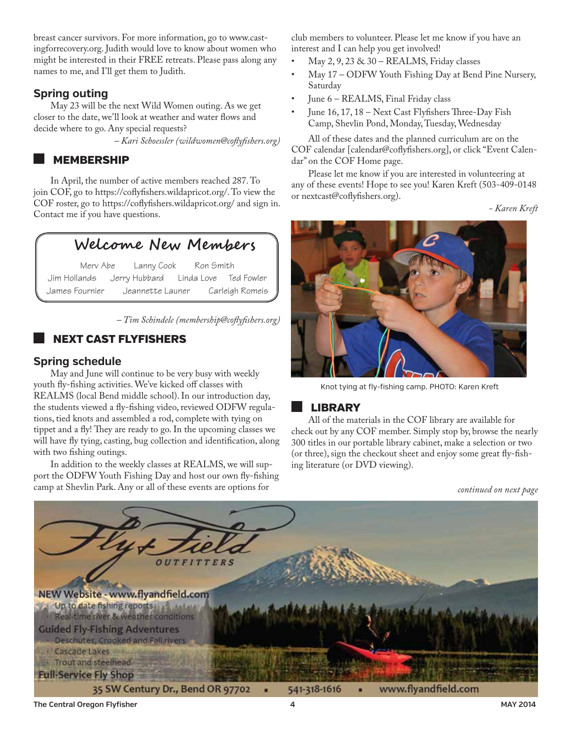<span id="page-3-0"></span>breast cancer survivors. For more information, go to www.castingforrecovery.org. Judith would love to know about women who might be interested in their FREE retreats. Please pass along any names to me, and I'll get them to Judith.

## **Spring outing**

May 23 will be the next Wild Women outing. As we get closer to the date, we'll look at weather and water flows and decide where to go. Any special requests?

*– Kari Schoessler (wildwomen@coflyfishers.org)*

## **MEMBERSHIP**

In April, the number of active members reached 287. To join COF, go to https://coflyfishers.wildapricot.org/. To view the COF roster, go to https://coflyfishers.wildapricot.org/ and sign in. Contact me if you have questions.

# **Welcome New Members**

Merv Abe Lanny Cook Ron Smith Jim Hollands Jerry Hubbard Linda Love Ted Fowler James Fournier Jeannette Launer Carleigh Romeis

*– Tim Schindele (membership@coflyfishers.org)* 

# next cast flyfishers

## **Spring schedule**

May and June will continue to be very busy with weekly youth fly-fishing activities. We've kicked off classes with REALMS (local Bend middle school). In our introduction day, the students viewed a fly-fishing video, reviewed ODFW regulations, tied knots and assembled a rod, complete with tying on tippet and a fly! They are ready to go. In the upcoming classes we will have fly tying, casting, bug collection and identification, along with two fishing outings.

In addition to the weekly classes at REALMS, we will support the ODFW Youth Fishing Day and host our own fly-fishing camp at Shevlin Park. Any or all of these events are options for

club members to volunteer. Please let me know if you have an interest and I can help you get involved!

- May  $2, 9, 23 \& 30$  REALMS, Friday classes
- May 17 ODFW Youth Fishing Day at Bend Pine Nursery, Saturday
- June 6 REALMS, Final Friday class
- June 16, 17, 18 Next Cast Flyfishers Three-Day Fish Camp, Shevlin Pond, Monday, Tuesday, Wednesday

All of these dates and the planned curriculum are on the COF calendar [calendar@coflyfishers.org], or click "Event Calendar" on the COF Home page.

Please let me know if you are interested in volunteering at any of these events! Hope to see you! Karen Kreft (503-409-0148 or nextcast@coflyfishers.org).

*- Karen Kreft*

![](_page_3_Picture_21.jpeg)

Knot tying at fly-fishing camp. PHOTO: Karen Kreft

# **LIBRARY**

All of the materials in the COF library are available for check out by any COF member. Simply stop by, browse the nearly 300 titles in our portable library cabinet, make a selection or two (or three), sign the checkout sheet and enjoy some great fly-fishing literature (or DVD viewing).

![](_page_3_Picture_26.jpeg)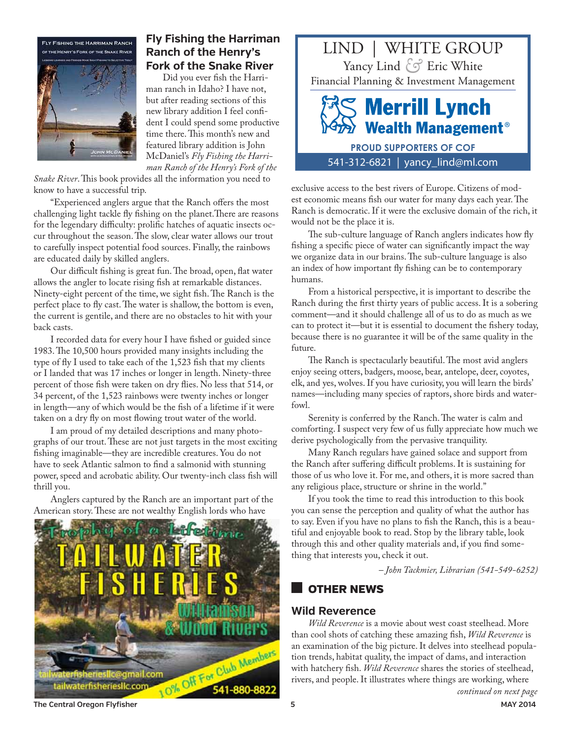<span id="page-4-0"></span>![](_page_4_Picture_0.jpeg)

# **Fly Fishing the Harriman Ranch of the Henry's Fork of the Snake River**

Did you ever fish the Harriman ranch in Idaho? I have not, but after reading sections of this new library addition I feel confident I could spend some productive time there. This month's new and featured library addition is John McDaniel's *Fly Fishing the Harriman Ranch of the Henry's Fork of the* 

*Snake River*. This book provides all the information you need to know to have a successful trip.

"Experienced anglers argue that the Ranch offers the most challenging light tackle fly fishing on the planet.There are reasons for the legendary difficulty: prolific hatches of aquatic insects occur throughout the season. The slow, clear water allows our trout to carefully inspect potential food sources. Finally, the rainbows are educated daily by skilled anglers.

Our difficult fishing is great fun. The broad, open, flat water allows the angler to locate rising fish at remarkable distances. Ninety-eight percent of the time, we sight fish. The Ranch is the perfect place to fly cast. The water is shallow, the bottom is even, the current is gentile, and there are no obstacles to hit with your back casts.

I recorded data for every hour I have fished or guided since 1983. The 10,500 hours provided many insights including the type of fly I used to take each of the 1,523 fish that my clients or I landed that was 17 inches or longer in length. Ninety-three percent of those fish were taken on dry flies. No less that 514, or 34 percent, of the 1,523 rainbows were twenty inches or longer in length—any of which would be the fish of a lifetime if it were taken on a dry fly on most flowing trout water of the world.

I am proud of my detailed descriptions and many photographs of our trout. These are not just targets in the most exciting fishing imaginable—they are incredible creatures. You do not have to seek Atlantic salmon to find a salmonid with stunning power, speed and acrobatic ability. Our twenty-inch class fish will thrill you.

Anglers captured by the Ranch are an important part of the American story. These are not wealthy English lords who have

![](_page_4_Picture_9.jpeg)

![](_page_4_Picture_10.jpeg)

exclusive access to the best rivers of Europe. Citizens of modest economic means fish our water for many days each year. The Ranch is democratic. If it were the exclusive domain of the rich, it would not be the place it is.

The sub-culture language of Ranch anglers indicates how fly fishing a specific piece of water can significantly impact the way we organize data in our brains. The sub-culture language is also an index of how important fly fishing can be to contemporary humans.

From a historical perspective, it is important to describe the Ranch during the first thirty years of public access. It is a sobering comment—and it should challenge all of us to do as much as we can to protect it—but it is essential to document the fishery today, because there is no guarantee it will be of the same quality in the future.

The Ranch is spectacularly beautiful. The most avid anglers enjoy seeing otters, badgers, moose, bear, antelope, deer, coyotes, elk, and yes, wolves. If you have curiosity, you will learn the birds' names—including many species of raptors, shore birds and waterfowl.

Serenity is conferred by the Ranch. The water is calm and comforting. I suspect very few of us fully appreciate how much we derive psychologically from the pervasive tranquility.

Many Ranch regulars have gained solace and support from the Ranch after suffering difficult problems. It is sustaining for those of us who love it. For me, and others, it is more sacred than any religious place, structure or shrine in the world."

If you took the time to read this introduction to this book you can sense the perception and quality of what the author has to say. Even if you have no plans to fish the Ranch, this is a beautiful and enjoyable book to read. Stop by the library table, look through this and other quality materials and, if you find something that interests you, check it out.

*– John Tackmier, Librarian (541-549-6252)*

# Other News

## **Wild Reverence**

*Wild Reverence* is a movie about west coast steelhead. More than cool shots of catching these amazing fish, *Wild Reverence* is an examination of the big picture. It delves into steelhead population trends, habitat quality, the impact of dams, and interaction with hatchery fish. *Wild Reverence* shares the stories of steelhead, rivers, and people. It illustrates where things are working, where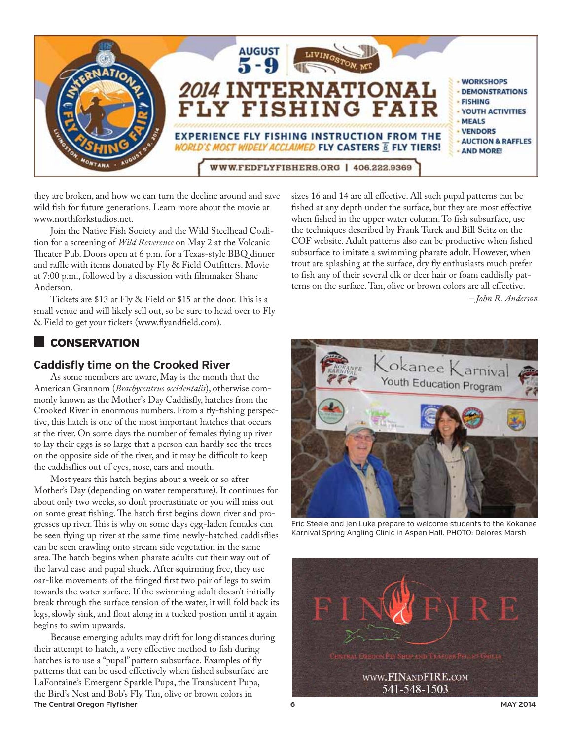<span id="page-5-0"></span>![](_page_5_Picture_0.jpeg)

they are broken, and how we can turn the decline around and save wild fish for future generations. Learn more about the movie at www.northforkstudios.net.

Join the Native Fish Society and the Wild Steelhead Coalition for a screening of *Wild Reverence* on May 2 at the Volcanic Theater Pub. Doors open at 6 p.m. for a Texas-style BBQ dinner and raffle with items donated by Fly & Field Outfitters. Movie at 7:00 p.m., followed by a discussion with filmmaker Shane Anderson.

Tickets are \$13 at Fly & Field or \$15 at the door.This is a small venue and will likely sell out, so be sure to head over to Fly & Field to get your tickets (www.flyandfield.com).

# **CONSERVATION**

#### **Caddisfly time on the Crooked River**

As some members are aware, May is the month that the American Grannom (*Brachycentrus occidentalis*), otherwise commonly known as the Mother's Day Caddisfly, hatches from the Crooked River in enormous numbers. From a fly-fishing perspective, this hatch is one of the most important hatches that occurs at the river. On some days the number of females flying up river to lay their eggs is so large that a person can hardly see the trees on the opposite side of the river, and it may be difficult to keep the caddisflies out of eyes, nose, ears and mouth.

Most years this hatch begins about a week or so after Mother's Day (depending on water temperature). It continues for about only two weeks, so don't procrastinate or you will miss out on some great fishing. The hatch first begins down river and progresses up river. This is why on some days egg-laden females can be seen flying up river at the same time newly-hatched caddisflies can be seen crawling onto stream side vegetation in the same area. The hatch begins when pharate adults cut their way out of the larval case and pupal shuck. After squirming free, they use oar-like movements of the fringed first two pair of legs to swim towards the water surface. If the swimming adult doesn't initially break through the surface tension of the water, it will fold back its legs, slowly sink, and float along in a tucked postion until it again begins to swim upwards.

**The Central Oregon Flyfisher 6 MAY 2014** Because emerging adults may drift for long distances during their attempt to hatch, a very effective method to fish during hatches is to use a "pupal" pattern subsurface. Examples of fly patterns that can be used effectively when fished subsurface are LaFontaine's Emergent Sparkle Pupa, the Translucent Pupa, the Bird's Nest and Bob's Fly. Tan, olive or brown colors in

sizes 16 and 14 are all effective. All such pupal patterns can be fished at any depth under the surface, but they are most effective when fished in the upper water column. To fish subsurface, use the techniques described by Frank Turek and Bill Seitz on the COF website. Adult patterns also can be productive when fished subsurface to imitate a swimming pharate adult. However, when trout are splashing at the surface, dry fly enthusiasts much prefer to fish any of their several elk or deer hair or foam caddisfly patterns on the surface. Tan, olive or brown colors are all effective.

 *– John R. Anderson*

![](_page_5_Picture_11.jpeg)

Eric Steele and Jen Luke prepare to welcome students to the Kokanee Karnival Spring Angling Clinic in Aspen Hall. PHOTO: Delores Marsh

![](_page_5_Picture_13.jpeg)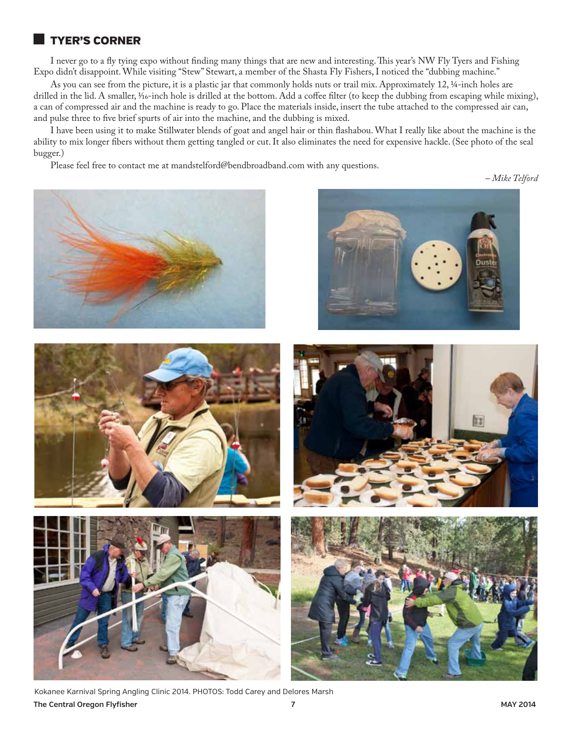## <span id="page-6-0"></span>tyer's corner

I never go to a fly tying expo without finding many things that are new and interesting. This year's NW Fly Tyers and Fishing Expo didn't disappoint. While visiting "Stew" Stewart, a member of the Shasta Fly Fishers, I noticed the "dubbing machine."

As you can see from the picture, it is a plastic jar that commonly holds nuts or trail mix. Approximately 12, ¼-inch holes are drilled in the lid. A smaller,  $\frac{1}{6}$ -inch hole is drilled at the bottom. Add a coffee filter (to keep the dubbing from escaping while mixing), a can of compressed air and the machine is ready to go. Place the materials inside, insert the tube attached to the compressed air can, and pulse three to five brief spurts of air into the machine, and the dubbing is mixed.

I have been using it to make Stillwater blends of goat and angel hair or thin flashabou. What I really like about the machine is the ability to mix longer fibers without them getting tangled or cut. It also eliminates the need for expensive hackle. (See photo of the seal bugger.)

Please feel free to contact me at mandstelford@bendbroadband.com with any questions.

*– Mike Telford*

![](_page_6_Picture_6.jpeg)

![](_page_6_Picture_7.jpeg)

![](_page_6_Picture_8.jpeg)

**The Central Oregon Flyfisher 7 MAY 2014** Kokanee Karnival Spring Angling Clinic 2014. PHOTOS: Todd Carey and Delores Marsh